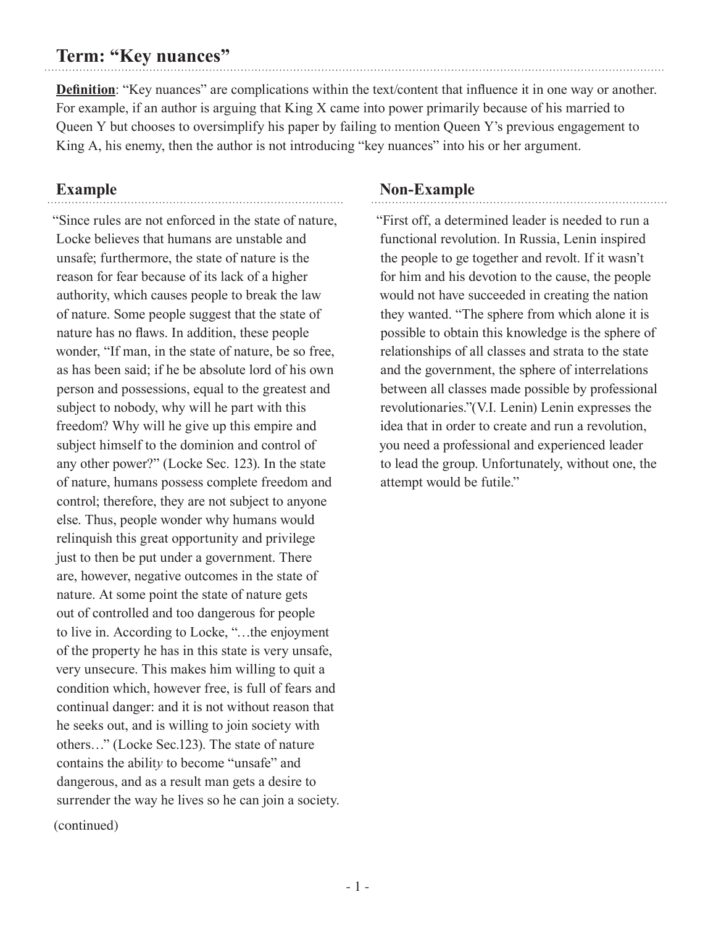## **Term: "Key nuances"**

**Definition**: "Key nuances" are complications within the text/content that influence it in one way or another. For example, if an author is arguing that King X came into power primarily because of his married to Queen Y but chooses to oversimplify his paper by failing to mention Queen Y's previous engagement to King A, his enemy, then the author is not introducing "key nuances" into his or her argument.

## **Example**

"Since rules are not enforced in the state of nature, Locke believes that humans are unstable and unsafe; furthermore, the state of nature is the reason for fear because of its lack of a higher authority, which causes people to break the law of nature. Some people suggest that the state of nature has no flaws. In addition, these people wonder, "If man, in the state of nature, be so free, as has been said; if he be absolute lord of his own person and possessions, equal to the greatest and subject to nobody, why will he part with this freedom? Why will he give up this empire and subject himself to the dominion and control of any other power?" (Locke Sec. 123). In the state of nature, humans possess complete freedom and control; therefore, they are not subject to anyone else. Thus, people wonder why humans would relinquish this great opportunity and privilege just to then be put under a government. There are, however, negative outcomes in the state of nature. At some point the state of nature gets out of controlled and too dangerous for people to live in. According to Locke, "…the enjoyment of the property he has in this state is very unsafe, very unsecure. This makes him willing to quit a condition which, however free, is full of fears and continual danger: and it is not without reason that he seeks out, and is willing to join society with others…" (Locke Sec.123). The state of nature contains the abilit*y* to become "unsafe" and dangerous, and as a result man gets a desire to surrender the way he lives so he can join a society. (continued)

## **Non-Example**

"First off, a determined leader is needed to run a functional revolution. In Russia, Lenin inspired the people to ge together and revolt. If it wasn't for him and his devotion to the cause, the people would not have succeeded in creating the nation they wanted. "The sphere from which alone it is possible to obtain this knowledge is the sphere of relationships of all classes and strata to the state and the government, the sphere of interrelations between all classes made possible by professional revolutionaries."(V.I. Lenin) Lenin expresses the idea that in order to create and run a revolution, you need a professional and experienced leader to lead the group. Unfortunately, without one, the attempt would be futile."